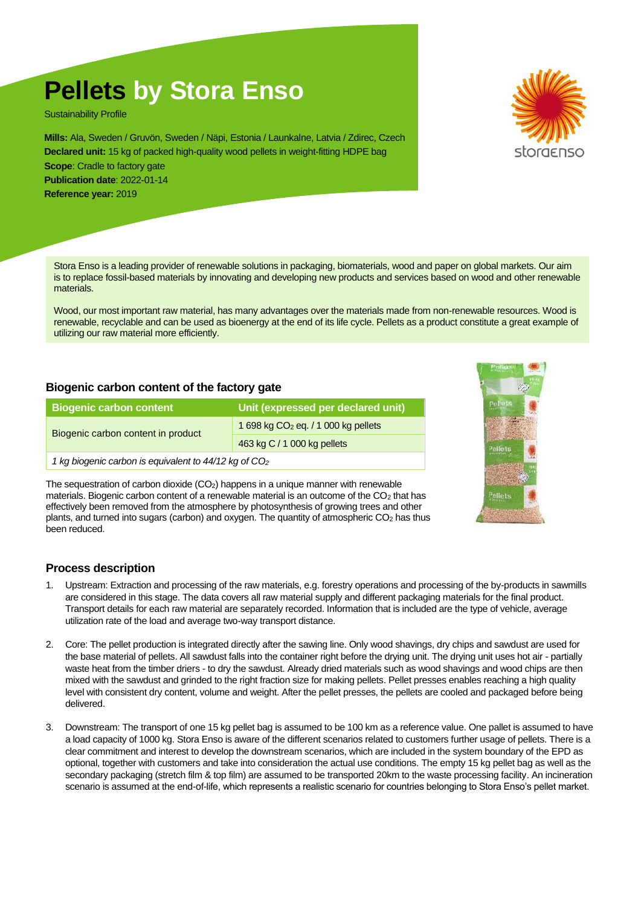# **Pellets by Stora Enso**

Sustainability Profile

**Mills:** Ala, Sweden / Gruvön, Sweden / Näpi, Estonia / Launkalne, Latvia / Zdirec, Czech **Declared unit:** 15 kg of packed high-quality wood pellets in weight-fitting HDPE bag

**Scope:** Cradle to factory gate **Publication date**: 2022-01-14 **Reference year:** 2019

Stora Enso is a leading provider of renewable solutions in packaging, biomaterials, wood and paper on global markets. Our aim is to replace fossil-based materials by innovating and developing new products and services based on wood and other renewable materials.

Wood, our most important raw material, has many advantages over the materials made from non-renewable resources. Wood is renewable, recyclable and can be used as bioenergy at the end of its life cycle. Pellets as a product constitute a great example of utilizing our raw material more efficiently.

# **Biogenic carbon content of the factory gate**

| <b>Biogenic carbon content</b>                                    | Unit (expressed per declared unit)    |  |
|-------------------------------------------------------------------|---------------------------------------|--|
| Biogenic carbon content in product                                | 1 698 kg $CO2$ eq. / 1 000 kg pellets |  |
|                                                                   | 463 kg C / 1 000 kg pellets           |  |
| 1 kg biogenic carbon is equivalent to 44/12 kg of CO <sub>2</sub> |                                       |  |

The sequestration of carbon dioxide (CO<sub>2</sub>) happens in a unique manner with renewable materials. Biogenic carbon content of a renewable material is an outcome of the  $CO<sub>2</sub>$  that has effectively been removed from the atmosphere by photosynthesis of growing trees and other plants, and turned into sugars (carbon) and oxygen. The quantity of atmospheric CO<sup>2</sup> has thus been reduced.

### **Process description**

- 1. Upstream: Extraction and processing of the raw materials, e.g. forestry operations and processing of the by-products in sawmills are considered in this stage. The data covers all raw material supply and different packaging materials for the final product. Transport details for each raw material are separately recorded. Information that is included are the type of vehicle, average utilization rate of the load and average two-way transport distance.
- 2. Core: The pellet production is integrated directly after the sawing line. Only wood shavings, dry chips and sawdust are used for the base material of pellets. All sawdust falls into the container right before the drying unit. The drying unit uses hot air - partially waste heat from the timber driers - to dry the sawdust. Already dried materials such as wood shavings and wood chips are then mixed with the sawdust and grinded to the right fraction size for making pellets. Pellet presses enables reaching a high quality level with consistent dry content, volume and weight. After the pellet presses, the pellets are cooled and packaged before being delivered.
- 3. Downstream: The transport of one 15 kg pellet bag is assumed to be 100 km as a reference value. One pallet is assumed to have a load capacity of 1000 kg. Stora Enso is aware of the different scenarios related to customers further usage of pellets. There is a clear commitment and interest to develop the downstream scenarios, which are included in the system boundary of the EPD as optional, together with customers and take into consideration the actual use conditions. The empty 15 kg pellet bag as well as the secondary packaging (stretch film & top film) are assumed to be transported 20km to the waste processing facility. An incineration scenario is assumed at the end-of-life, which represents a realistic scenario for countries belonging to Stora Enso's pellet market.